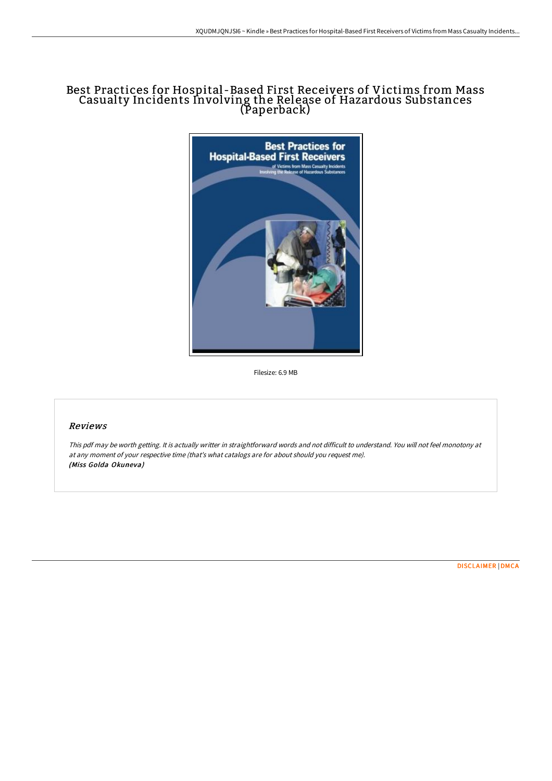## Best Practices for Hospital -Based First Receivers of Victims from Mass Casualty Incidents Involving the Release of Hazardous Substances (Paperback)



Filesize: 6.9 MB

## Reviews

This pdf may be worth getting. It is actually writter in straightforward words and not difficult to understand. You will not feel monotony at at any moment of your respective time (that's what catalogs are for about should you request me). (Miss Golda Okuneva)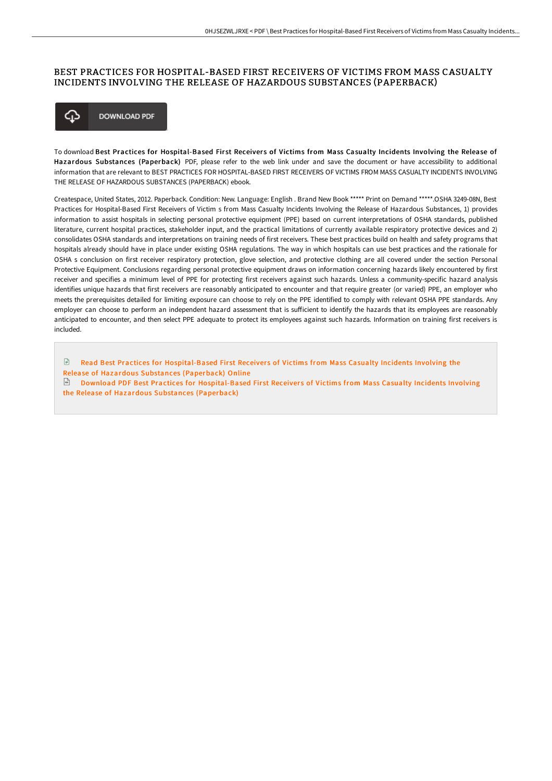## BEST PRACTICES FOR HOSPITAL-BASED FIRST RECEIVERS OF VICTIMS FROM MASS CASUALTY INCIDENTS INVOLVING THE RELEASE OF HAZARDOUS SUBSTANCES (PAPERBACK)



To download Best Practices for Hospital-Based First Receivers of Victims from Mass Casualty Incidents Involving the Release of Hazardous Substances (Paperback) PDF, please refer to the web link under and save the document or have accessibility to additional information that are relevant to BEST PRACTICES FOR HOSPITAL-BASED FIRST RECEIVERS OF VICTIMS FROM MASS CASUALTY INCIDENTS INVOLVING THE RELEASE OF HAZARDOUS SUBSTANCES (PAPERBACK) ebook.

Createspace, United States, 2012. Paperback. Condition: New. Language: English . Brand New Book \*\*\*\*\* Print on Demand \*\*\*\*\*.OSHA 3249-08N, Best Practices for Hospital-Based First Receivers of Victim s from Mass Casualty Incidents Involving the Release of Hazardous Substances, 1) provides information to assist hospitals in selecting personal protective equipment (PPE) based on current interpretations of OSHA standards, published literature, current hospital practices, stakeholder input, and the practical limitations of currently available respiratory protective devices and 2) consolidates OSHA standards and interpretations on training needs of first receivers. These best practices build on health and safety programs that hospitals already should have in place under existing OSHA regulations. The way in which hospitals can use best practices and the rationale for OSHA s conclusion on first receiver respiratory protection, glove selection, and protective clothing are all covered under the section Personal Protective Equipment. Conclusions regarding personal protective equipment draws on information concerning hazards likely encountered by first receiver and specifies a minimum level of PPE for protecting first receivers against such hazards. Unless a community-specific hazard analysis identifies unique hazards that first receivers are reasonably anticipated to encounter and that require greater (or varied) PPE, an employer who meets the prerequisites detailed for limiting exposure can choose to rely on the PPE identified to comply with relevant OSHA PPE standards. Any employer can choose to perform an independent hazard assessment that is sufficient to identify the hazards that its employees are reasonably anticipated to encounter, and then select PPE adequate to protect its employees against such hazards. Information on training first receivers is included.

 $\mathbb{R}$ Read Best Practices for [Hospital-Based](http://albedo.media/best-practices-for-hospital-based-first-receiver-1.html) First Receivers of Victims from Mass Casualty Incidents Involving the Release of Hazardous Substances (Paperback) Online

 $\Box$  Download PDF Best Practices for [Hospital-Based](http://albedo.media/best-practices-for-hospital-based-first-receiver-1.html) First Receivers of Victims from Mass Casualty Incidents Involving the Release of Hazardous Substances (Paperback)